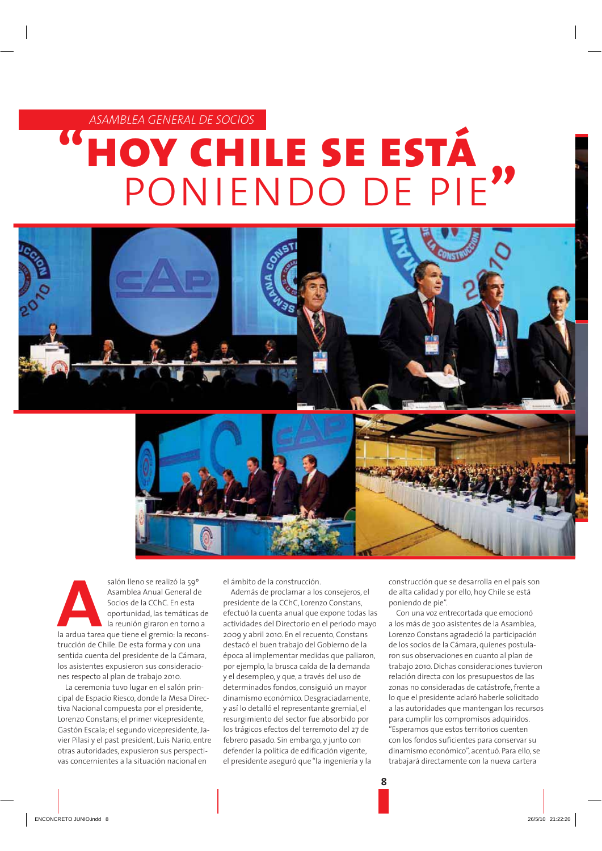ASAMBLEA GENERAL DE SOCIOS

## HOY CHILE SE ESTÁ PONIENDO DE PIE



salón lleno se realizó la 59° Asamblea Anual General de Socios de la CChC. En esta oportunidad, las temáticas de la reunión giraron en torno a la ardua tarea que tiene el gremio: la reconstrucción de Chile. De esta forma y con una sentida cuenta del presidente de la Cámara, los asistentes expusieron sus consideraciones respecto al plan de trabajo 2010.

La ceremonia tuvo lugar en el salón principal de Espacio Riesco, donde la Mesa Directiva Nacional compuesta por el presidente, Lorenzo Constans; el primer vicepresidente, Gastón Escala; el segundo vicepresidente, Javier Pilasi y el past president, Luis Nario, entre otras autoridades, expusieron sus perspectivas concernientes a la situación nacional en

el ámbito de la construcción.

Además de proclamar a los consejeros, el presidente de la CChC, Lorenzo Constans, efectuó la cuenta anual que expone todas las actividades del Directorio en el periodo mayo 2009 y abril 2010. En el recuento, Constans destacó el buen trabajo del Gobierno de la época al implementar medidas que paliaron, por ejemplo, la brusca caída de la demanda y el desempleo, y que, a través del uso de determinados fondos, consiguió un mayor dinamismo económico. Desgraciadamente, y así lo detalló el representante gremial, el resurgimiento del sector fue absorbido por los trágicos efectos del terremoto del 27 de febrero pasado. Sin embargo, y junto con defender la política de edificación vigente, el presidente aseguró que "la ingeniería y la

construcción que se desarrolla en el país son de alta calidad y por ello, hoy Chile se está poniendo de pie".

Con una voz entrecortada que emocionó a los más de 300 asistentes de la Asamblea, Lorenzo Constans agradeció la participación de los socios de la Cámara, quienes postularon sus observaciones en cuanto al plan de trabajo 2010. Dichas consideraciones tuvieron relación directa con los presupuestos de las zonas no consideradas de catástrofe, frente a lo que el presidente aclaró haberle solicitado a las autoridades que mantengan los recursos para cumplir los compromisos adquiridos. "Esperamos que estos territorios cuenten con los fondos suficientes para conservar su dinamismo económico", acentuó, Para ello, se trabajará directamente con la nueva cartera